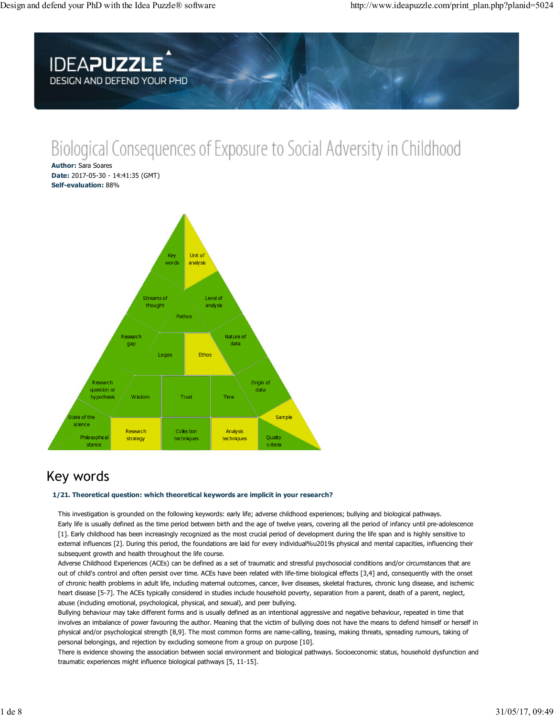

# Biological Consequences of Exposure to Social Adversity in Childhood

**Author: Sara Soares** Date: 2017-05-30 - 14:41:35 (GMT) Self-evaluation: 88%



# Key words

### 1/21. Theoretical question: which theoretical keywords are implicit in your research?

This investigation is grounded on the following keywords: early life; adverse childhood experiences; bullying and biological pathways. Early life is usually defined as the time period between birth and the age of twelve years, covering all the period of infancy until pre-adolescence [1]. Early childhood has been increasingly recognized as the most crucial period of development during the life span and is highly sensitive to external influences [2]. During this period, the foundations are laid for every individual%u2019s physical and mental capacities, influencing their subsequent growth and health throughout the life course.

Adverse Childhood Experiences (ACEs) can be defined as a set of traumatic and stressful psychosocial conditions and/or circumstances that are out of child's control and often persist over time. ACEs have been related with life-time biological effects [3,4] and, consequently with the onset of chronic health problems in adult life, including maternal outcomes, cancer, liver diseases, skeletal fractures, chronic lung disease, and ischemic heart disease [5-7]. The ACEs typically considered in studies include household poverty, separation from a parent, death of a parent, neglect, abuse (including emotional, psychological, physical, and sexual), and peer bullying.

Bullying behaviour may take different forms and is usually defined as an intentional aggressive and negative behaviour, repeated in time that involves an imbalance of power favouring the author. Meaning that the victim of bullying does not have the means to defend himself or herself in physical and/or psychological strength [8,9]. The most common forms are name-calling, teasing, making threats, spreading rumours, taking of personal belongings, and rejection by excluding someone from a group on purpose [10].

There is evidence showing the association between social environment and biological pathways. Socioeconomic status, household dysfunction and traumatic experiences might influence biological pathways [5, 11-15].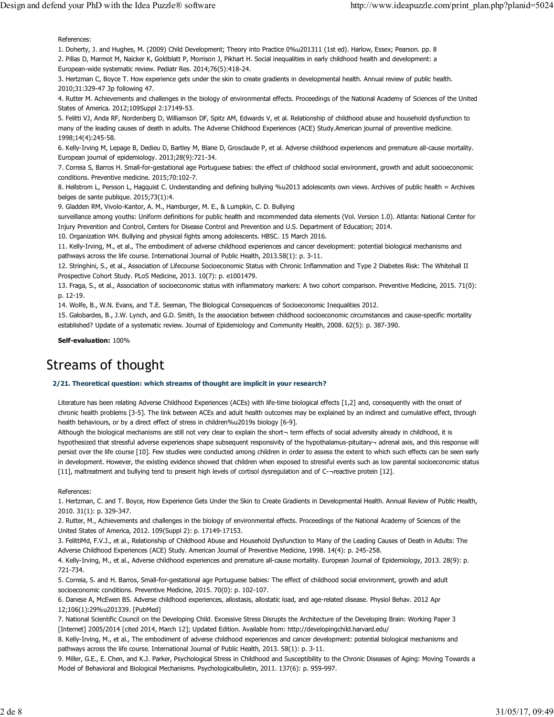References:

1. Doherty, J. and Hughes, M. (2009) Child Development; Theory into Practice 0%u201311 (1st ed). Harlow, Essex; Pearson. pp. 8 2. Pillas D, Marmot M, Naicker K, Goldblatt P, Morrison J, Pikhart H. Social inequalities in early childhood health and development: a European-wide systematic review. Pediatr Res. 2014;76(5):418-24.

3. Hertzman C, Boyce T. How experience gets under the skin to create gradients in developmental health. Annual review of public health. 2010;31:329-47 3p following 47.

4. Rutter M. Achievements and challenges in the biology of environmental effects. Proceedings of the National Academy of Sciences of the United States of America. 2012;109Suppl 2:17149-53.

5. Felitti VJ, Anda RF, Nordenberg D, Williamson DF, Spitz AM, Edwards V, et al. Relationship of childhood abuse and household dysfunction to many of the leading causes of death in adults. The Adverse Childhood Experiences (ACE) Study.American journal of preventive medicine. 1998;14(4):245-58.

6. Kelly-Irving M, Lepage B, Dedieu D, Bartley M, Blane D, Grosclaude P, et al. Adverse childhood experiences and premature all-cause mortality. European journal of epidemiology. 2013;28(9):721-34.

7. Correia S, Barros H. Small-for-gestational age Portuguese babies: the effect of childhood social environment, growth and adult socioeconomic conditions. Preventive medicine, 2015:70:102-7.

8. Hellstrom L, Persson L, Hagguist C. Understanding and defining bullying %u2013 adolescents own views. Archives of public health = Archives belges de sante publique. 2015;73(1):4.

9. Gladden RM, Vivolo-Kantor, A. M., Hamburger, M. E., & Lumpkin, C. D. Bullying

surveillance among youths: Uniform definitions for public health and recommended data elements (Vol. Version 1.0). Atlanta: National Center for Injury Prevention and Control, Centers for Disease Control and Prevention and U.S. Department of Education; 2014.

10. Organization WH. Bullying and physical fights among adolescents. HBSC. 15 March 2016.

11. Kelly-Irving, M., et al., The embodiment of adverse childhood experiences and cancer development: potential biological mechanisms and pathways across the life course. International Journal of Public Health, 2013.58(1): p. 3-11.

12. Stringhini, S., et al., Association of Lifecourse Socioeconomic Status with Chronic Inflammation and Type 2 Diabetes Risk: The Whitehall II Prospective Cohort Study. PLoS Medicine, 2013. 10(7): p. e1001479.

13. Fraga, S., et al., Association of socioeconomic status with inflammatory markers: A two cohort comparison. Preventive Medicine, 2015. 71(0): p. 12-19.

14. Wolfe, B., W.N. Evans, and T.E. Seeman, The Biological Consequences of Socioeconomic Inequalities 2012.

15. Galobardes, B., J.W. Lynch, and G.D. Smith, Is the association between childhood socioeconomic circumstances and cause-specific mortality established? Update of a systematic review. Journal of Epidemiology and Community Health, 2008. 62(5): p. 387-390.

Self-evaluation: 100%

### **Streams of thought**

#### 2/21. Theoretical question: which streams of thought are implicit in your research?

Literature has been relating Adverse Childhood Experiences (ACEs) with life-time biological effects [1,2] and, consequently with the onset of chronic health problems [3-5]. The link between ACEs and adult health outcomes may be explained by an indirect and cumulative effect, through health behaviours, or by a direct effect of stress in children%u2019s biology [6-9].

Although the biological mechanisms are still not very clear to explain the short- term effects of social adversity already in childhood, it is hypothesized that stressful adverse experiences shape subsequent responsivity of the hypothalamus-pituitary- adrenal axis, and this response will persist over the life course [10]. Few studies were conducted among children in order to assess the extent to which such effects can be seen early in development. However, the existing evidence showed that children when exposed to stressful events such as low parental socioeconomic status [11], maltreatment and bullying tend to present high levels of cortisol dysregulation and of C-¬reactive protein [12].

#### References:

1. Hertzman, C. and T. Boyce, How Experience Gets Under the Skin to Create Gradients in Developmental Health. Annual Review of Public Health, 2010. 31(1): p. 329-347.

2. Rutter, M., Achievements and challenges in the biology of environmental effects. Proceedings of the National Academy of Sciences of the United States of America, 2012. 109(Suppl 2): p. 17149-17153.

3. FelittiMd, F.V.J., et al., Relationship of Childhood Abuse and Household Dysfunction to Many of the Leading Causes of Death in Adults: The Adverse Childhood Experiences (ACE) Study. American Journal of Preventive Medicine, 1998. 14(4): p. 245-258.

4. Kelly-Irving, M., et al., Adverse childhood experiences and premature all-cause mortality. European Journal of Epidemiology, 2013. 28(9): p. 721-734.

5. Correia, S. and H. Barros, Small-for-gestational age Portuguese babies: The effect of childhood social environment, growth and adult socioeconomic conditions. Preventive Medicine, 2015. 70(0): p. 102-107.

6. Danese A, McEwen BS. Adverse childhood experiences, allostasis, allostatic load, and age-related disease. Physiol Behav. 2012 Apr 12;106(1):29%u201339. [PubMed]

7. National Scientific Council on the Developing Child. Excessive Stress Disrupts the Architecture of the Developing Brain: Working Paper 3 [Internet] 2005/2014 [cited 2014, March 12]; Updated Edition. Available from: http://developingchild.harvard.edu/

8. Kelly-Irving, M., et al., The embodiment of adverse childhood experiences and cancer development: potential biological mechanisms and pathways across the life course. International Journal of Public Health, 2013. 58(1): p. 3-11.

9. Miller, G.E., E. Chen, and K.J. Parker, Psychological Stress in Childhood and Susceptibility to the Chronic Diseases of Aging: Moving Towards a Model of Behavioral and Biological Mechanisms. Psychologicalbulletin, 2011. 137(6): p. 959-997.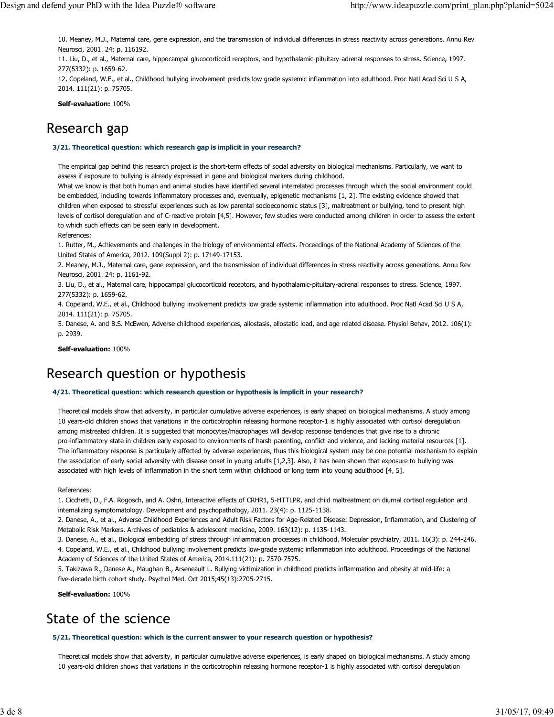10. Meaney, M.J., Maternal care, gene expression, and the transmission of individual differences in stress reactivity across generations. Annu Rev Neurosci, 2001. 24: p. 116192.

11. Liu, D., et al., Maternal care, hippocampal glucocorticoid receptors, and hypothalamic-pituitary-adrenal responses to stress. Science, 1997. 277(5332): p. 1659-62.

12. Copeland, W.E., et al., Childhood bullying involvement predicts low grade systemic inflammation into adulthood. Proc Natl Acad Sci U S A, 2014. 111(21): p. 75705.

Self-evaluation: 100%

# Research gap

3/21. Theoretical question: which research gap is implicit in your research?

The empirical gap behind this research project is the short-term effects of social adversity on biological mechanisms. Particularly, we want to assess if exposure to bullying is already expressed in gene and biological markers during childhood.

What we know is that both human and animal studies have identified several interrelated processes through which the social environment could be embedded, including towards inflammatory processes and, eventually, epigenetic mechanisms [1, 2]. The existing evidence showed that children when exposed to stressful experiences such as low parental socioeconomic status [3], maltreatment or bullying, tend to present high levels of cortisol deregulation and of C-reactive protein [4,5]. However, few studies were conducted among children in order to assess the extent to which such effects can be seen early in development.

References:

1. Rutter, M., Achievements and challenges in the biology of environmental effects. Proceedings of the National Academy of Sciences of the United States of America, 2012. 109(Suppl 2): p. 17149-17153.

2. Meaney, M.J., Maternal care, gene expression, and the transmission of individual differences in stress reactivity across generations. Annu Rev Neurosci, 2001. 24: p. 1161-92.

3. Liu, D., et al., Maternal care, hippocampal glucocorticoid receptors, and hypothalamic-pituitary-adrenal responses to stress. Science, 1997. 277(5332): p. 1659-62.

4. Copeland, W.E., et al., Childhood bullying involvement predicts low grade systemic inflammation into adulthood. Proc Natl Acad Sci U S A, 2014. 111(21): p. 75705.

5. Danese, A. and B.S. McEwen, Adverse childhood experiences, allostasis, allostatic load, and age related disease. Physiol Behav, 2012. 106(1): p. 2939.

Self-evaluation: 100%

# Research question or hypothesis

### 4/21. Theoretical question: which research question or hypothesis is implicit in your research?

Theoretical models show that adversity, in particular cumulative adverse experiences, is early shaped on biological mechanisms. A study among 10 years-old children shows that variations in the corticotrophin releasing hormone receptor-1 is highly associated with cortisol deregulation among mistreated children. It is suggested that monocytes/macrophages will develop response tendencies that give rise to a chronic pro-inflammatory state in children early exposed to environments of harsh parenting, conflict and violence, and lacking material resources [1]. The inflammatory response is particularly affected by adverse experiences, thus this biological system may be one potential mechanism to explain the association of early social adversity with disease onset in young adults [1,2,3]. Also, it has been shown that exposure to bullying was associated with high levels of inflammation in the short term within childhood or long term into young adulthood [4, 5].

References:

1. Cicchetti, D., F.A. Rogosch, and A. Oshri, Interactive effects of CRHR1, 5-HTTLPR, and child maltreatment on diurnal cortisol regulation and internalizing symptomatology. Development and psychopathology, 2011. 23(4): p. 1125-1138.

2. Danese, A., et al., Adverse Childhood Experiences and Adult Risk Factors for Age-Related Disease: Depression, Inflammation, and Clustering of Metabolic Risk Markers. Archives of pediatrics & adolescent medicine, 2009. 163(12): p. 1135-1143.

3. Danese, A., et al., Biological embedding of stress through inflammation processes in childhood. Molecular psychiatry, 2011. 16(3): p. 244-246. 4. Copeland, W.E., et al., Childhood bullying involvement predicts low-grade systemic inflammation into adulthood. Proceedings of the National Academy of Sciences of the United States of America, 2014.111(21): p. 7570-7575.

5. Takizawa R., Danese A., Maughan B., Arseneault L. Bullying victimization in childhood predicts inflammation and obesity at mid-life: a five-decade birth cohort study. Psychol Med. Oct 2015;45(13):2705-2715.

Self-evaluation: 100%

# State of the science

### 5/21. Theoretical question: which is the current answer to your research question or hypothesis?

Theoretical models show that adversity, in particular cumulative adverse experiences, is early shaped on biological mechanisms. A study among 10 years-old children shows that variations in the corticotrophin releasing hormone receptor-1 is highly associated with cortisol deregulation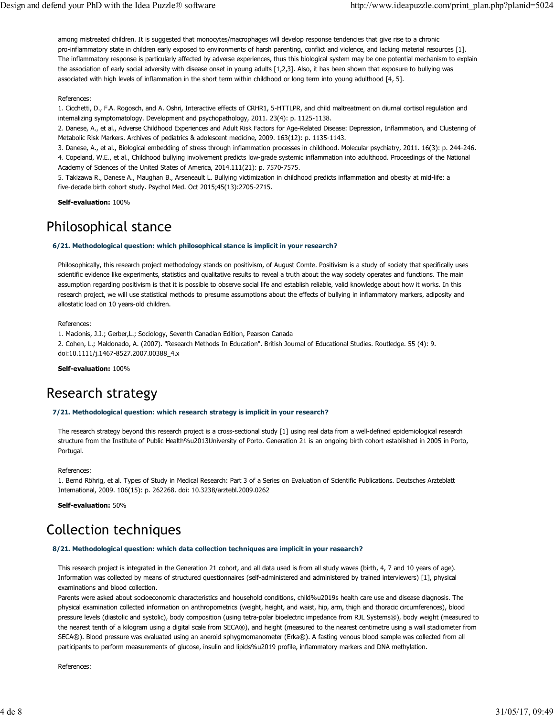among mistreated children. It is suggested that monocytes/macrophages will develop response tendencies that give rise to a chronic pro-inflammatory state in children early exposed to environments of harsh parenting, conflict and violence, and lacking material resources [1]. The inflammatory response is particularly affected by adverse experiences, thus this biological system may be one potential mechanism to explain the association of early social adversity with disease onset in young adults [1,2,3]. Also, it has been shown that exposure to bullying was associated with high levels of inflammation in the short term within childhood or long term into young adulthood [4, 5].

### References:

1. Cicchetti, D., F.A. Rogosch, and A. Oshri, Interactive effects of CRHR1, 5-HTTLPR, and child maltreatment on diurnal cortisol regulation and internalizing symptomatology. Development and psychopathology, 2011. 23(4): p. 1125-1138.

2. Danese, A., et al., Adverse Childhood Experiences and Adult Risk Factors for Age-Related Disease: Depression, Inflammation, and Clustering of Metabolic Risk Markers. Archives of pediatrics & adolescent medicine, 2009. 163(12): p. 1135-1143.

3. Danese, A., et al., Biological embedding of stress through inflammation processes in childhood. Molecular psychiatry, 2011. 16(3): p. 244-246. 4. Copeland, W.E., et al., Childhood bullying involvement predicts low-grade systemic inflammation into adulthood. Proceedings of the National Academy of Sciences of the United States of America, 2014.111(21): p. 7570-7575.

5. Takizawa R., Danese A., Maughan B., Arseneault L. Bullying victimization in childhood predicts inflammation and obesity at mid-life: a five-decade birth cohort study. Psychol Med. Oct 2015;45(13):2705-2715.

Self-evaluation: 100%

# Philosophical stance

### 6/21. Methodological question: which philosophical stance is implicit in your research?

Philosophically, this research project methodology stands on positivism, of August Comte. Positivism is a study of society that specifically uses scientific evidence like experiments, statistics and qualitative results to reveal a truth about the way society operates and functions. The main assumption regarding positivism is that it is possible to observe social life and establish reliable, valid knowledge about how it works. In this research project, we will use statistical methods to presume assumptions about the effects of bullying in inflammatory markers, adiposity and allostatic load on 10 years-old children.

References:

1. Macionis, J.J.; Gerber, L.; Sociology, Seventh Canadian Edition, Pearson Canada 2. Cohen, L.; Maldonado, A. (2007). "Research Methods In Education". British Journal of Educational Studies. Routledge. 55 (4): 9. doi:10.1111/j.1467-8527.2007.00388\_4.x

Self-evaluation: 100%

# Research strategy

### 7/21. Methodological question: which research strategy is implicit in your research?

The research strategy beyond this research project is a cross-sectional study [1] using real data from a well-defined epidemiological research structure from the Institute of Public Health%u2013University of Porto. Generation 21 is an ongoing birth cohort established in 2005 in Porto, Portugal.

References:

1. Bernd Röhrig, et al. Types of Study in Medical Research: Part 3 of a Series on Evaluation of Scientific Publications. Deutsches Arzteblatt International, 2009. 106(15): p. 262268. doi: 10.3238/arztebl.2009.0262

Self-evaluation: 50%

# **Collection techniques**

#### 8/21. Methodological question: which data collection techniques are implicit in your research?

This research project is integrated in the Generation 21 cohort, and all data used is from all study waves (birth, 4, 7 and 10 years of age). Information was collected by means of structured questionnaires (self-administered and administered by trained interviewers) [1], physical examinations and blood collection.

Parents were asked about socioeconomic characteristics and household conditions, child%u2019s health care use and disease diagnosis. The physical examination collected information on anthropometrics (weight, height, and waist, hip, arm, thigh and thoracic circumferences), blood pressure levels (diastolic and systolic), body composition (using tetra-polar bioelectric impedance from RJL Systems®), body weight (measured to the nearest tenth of a kilogram using a digital scale from SECA®), and height (measured to the nearest centimetre using a wall stadiometer from SECA®). Blood pressure was evaluated using an aneroid sphygmomanometer (Erka®). A fasting venous blood sample was collected from all participants to perform measurements of glucose, insulin and lipids%u2019 profile, inflammatory markers and DNA methylation.

References: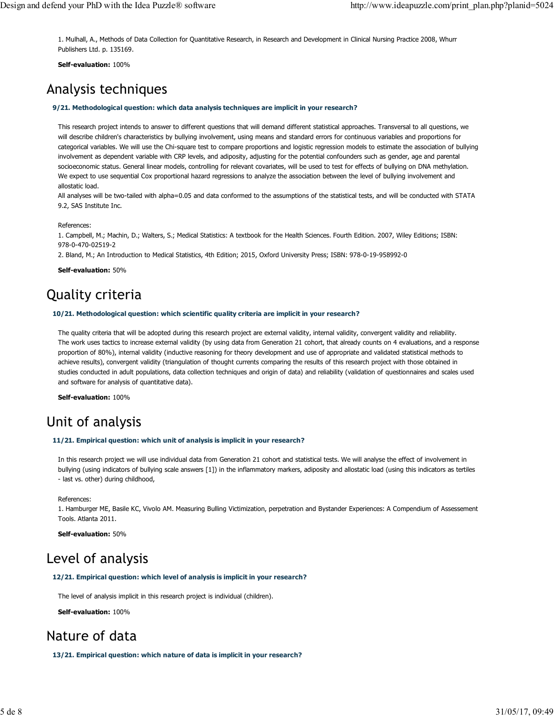1. Mulhall, A., Methods of Data Collection for Quantitative Research, in Research and Development in Clinical Nursing Practice 2008, Whurr Publishers Ltd. p. 135169.

Self-evaluation: 100%

### Analysis techniques

#### 9/21. Methodological question: which data analysis techniques are implicit in your research?

This research project intends to answer to different questions that will demand different statistical approaches. Transversal to all questions, we will describe children's characteristics by bullying involvement, using means and standard errors for continuous variables and proportions for categorical variables. We will use the Chi-square test to compare proportions and logistic regression models to estimate the association of bullying involvement as dependent variable with CRP levels, and adiposity, adjusting for the potential confounders such as gender, age and parental socioeconomic status. General linear models, controlling for relevant covariates, will be used to test for effects of bullying on DNA methylation. We expect to use sequential Cox proportional hazard regressions to analyze the association between the level of bullying involvement and allostatic load.

All analyses will be two-tailed with alpha=0.05 and data conformed to the assumptions of the statistical tests, and will be conducted with STATA 9.2, SAS Institute Inc.

References:

1. Campbell, M.; Machin, D.; Walters, S.; Medical Statistics: A textbook for the Health Sciences. Fourth Edition. 2007, Wiley Editions; ISBN: 978-0-470-02519-2

2. Bland, M.; An Introduction to Medical Statistics, 4th Edition; 2015, Oxford University Press; ISBN: 978-0-19-958992-0

Self-evaluation: 50%

# **Quality criteria**

#### 10/21. Methodological question: which scientific quality criteria are implicit in your research?

The quality criteria that will be adopted during this research project are external validity, internal validity, convergent validity and reliability. The work uses tactics to increase external validity (by using data from Generation 21 cohort, that already counts on 4 evaluations, and a response proportion of 80%), internal validity (inductive reasoning for theory development and use of appropriate and validated statistical methods to achieve results), convergent validity (triangulation of thought currents comparing the results of this research project with those obtained in studies conducted in adult populations, data collection techniques and origin of data) and reliability (validation of questionnaires and scales used and software for analysis of quantitative data).

Self-evaluation: 100%

### Unit of analysis

#### 11/21. Empirical question: which unit of analysis is implicit in your research?

In this research project we will use individual data from Generation 21 cohort and statistical tests. We will analyse the effect of involvement in bullying (using indicators of bullying scale answers [1]) in the inflammatory markers, adiposity and allostatic load (using this indicators as tertiles - last vs. other) during childhood,

References:

1. Hamburger ME, Basile KC, Vivolo AM. Measuring Bulling Victimization, perpetration and Bystander Experiences: A Compendium of Assessement Tools. Atlanta 2011.

Self-evaluation: 50%

### Level of analysis

#### 12/21. Empirical question: which level of analysis is implicit in your research?

The level of analysis implicit in this research project is individual (children).

Self-evaluation: 100%

### Nature of data

13/21. Empirical question: which nature of data is implicit in your research?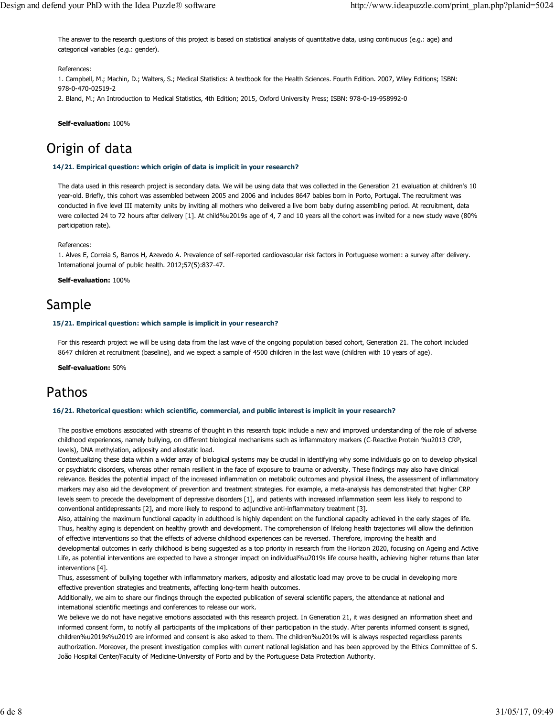The answer to the research questions of this project is based on statistical analysis of quantitative data, using continuous (e.g.: age) and categorical variables (e.g.: gender).

### References:

1. Campbell, M.; Machin, D.; Walters, S.; Medical Statistics: A textbook for the Health Sciences. Fourth Edition. 2007, Wiley Editions; ISBN: 978-0-470-02519-2 2. Bland, M.; An Introduction to Medical Statistics, 4th Edition; 2015, Oxford University Press; ISBN: 978-0-19-958992-0

Self-evaluation: 100%

# Origin of data

### 14/21. Empirical question: which origin of data is implicit in your research?

The data used in this research project is secondary data. We will be using data that was collected in the Generation 21 evaluation at children's 10 year-old. Briefly, this cohort was assembled between 2005 and 2006 and includes 8647 babies born in Porto, Portugal. The recruitment was conducted in five level III maternity units by inviting all mothers who delivered a live born baby during assembling period. At recruitment, data were collected 24 to 72 hours after delivery [1]. At child%u2019s age of 4, 7 and 10 years all the cohort was invited for a new study wave (80% participation rate).

#### References:

1. Alves E, Correia S, Barros H, Azevedo A. Prevalence of self-reported cardiovascular risk factors in Portuguese women: a survey after delivery. International journal of public health. 2012;57(5):837-47.

Self-evaluation: 100%

### Sample

#### 15/21. Empirical question: which sample is implicit in your research?

For this research project we will be using data from the last wave of the ongoing population based cohort, Generation 21. The cohort included 8647 children at recruitment (baseline), and we expect a sample of 4500 children in the last wave (children with 10 years of age).

Self-evaluation: 50%

### Pathos

#### 16/21. Rhetorical question: which scientific, commercial, and public interest is implicit in your research?

The positive emotions associated with streams of thought in this research topic include a new and improved understanding of the role of adverse childhood experiences, namely bullying, on different biological mechanisms such as inflammatory markers (C-Reactive Protein %u2013 CRP, levels), DNA methylation, adiposity and allostatic load.

Contextualizing these data within a wider array of biological systems may be crucial in identifying why some individuals go on to develop physical or psychiatric disorders, whereas other remain resilient in the face of exposure to trauma or adversity. These findings may also have clinical relevance. Besides the potential impact of the increased inflammation on metabolic outcomes and physical illness, the assessment of inflammatory markers may also aid the development of prevention and treatment strategies. For example, a meta-analysis has demonstrated that higher CRP levels seem to precede the development of depressive disorders [1], and patients with increased inflammation seem less likely to respond to conventional antidepressants [2], and more likely to respond to adjunctive anti-inflammatory treatment [3].

Also, attaining the maximum functional capacity in adulthood is highly dependent on the functional capacity achieved in the early stages of life. Thus, healthy aging is dependent on healthy growth and development. The comprehension of lifelong health trajectories will allow the definition of effective interventions so that the effects of adverse childhood experiences can be reversed. Therefore, improving the health and

developmental outcomes in early childhood is being suggested as a top priority in research from the Horizon 2020, focusing on Ageing and Active Life, as potential interventions are expected to have a stronger impact on individual%u2019s life course health, achieving higher returns than later interventions [4].

Thus, assessment of bullying together with inflammatory markers, adiposity and allostatic load may prove to be crucial in developing more effective prevention strategies and treatments, affecting long-term health outcomes.

Additionally, we aim to share our findings through the expected publication of several scientific papers, the attendance at national and international scientific meetings and conferences to release our work.

We believe we do not have negative emotions associated with this research project. In Generation 21, it was designed an information sheet and informed consent form, to notify all participants of the implications of their participation in the study. After parents informed consent is signed, children%u2019s%u2019 are informed and consent is also asked to them. The children%u2019s will is always respected regardless parents authorization. Moreover, the present investigation complies with current national legislation and has been approved by the Ethics Committee of S. João Hospital Center/Faculty of Medicine-University of Porto and by the Portuguese Data Protection Authority.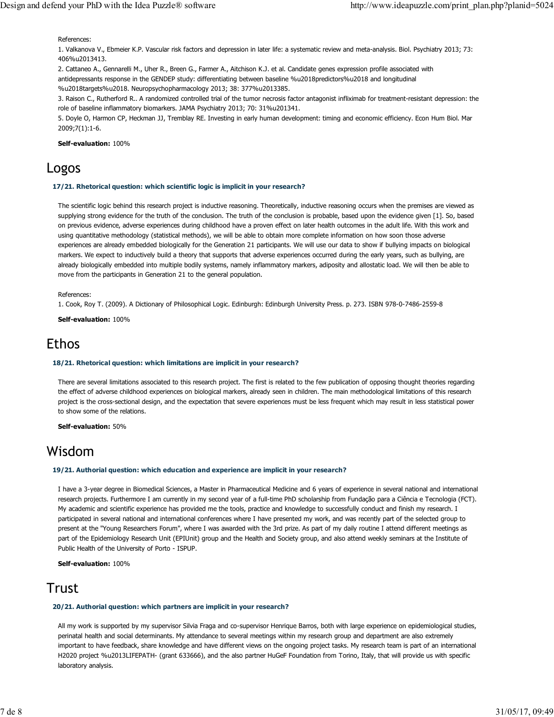References:

1. Valkanova V., Ebmeier K.P. Vascular risk factors and depression in later life: a systematic review and meta-analysis. Biol. Psychiatry 2013; 73: 406%u2013413.

2. Cattaneo A., Gennarelli M., Uher R., Breen G., Farmer A., Aitchison K.J. et al. Candidate genes expression profile associated with antidepressants response in the GENDEP study: differentiating between baseline %u2018predictors%u2018 and longitudinal %u2018targets%u2018. Neuropsychopharmacology 2013; 38: 377%u2013385.

3. Raison C., Rutherford R.. A randomized controlled trial of the tumor necrosis factor antagonist infliximab for treatment-resistant depression: the role of baseline inflammatory biomarkers. JAMA Psychiatry 2013; 70: 31%u201341.

5. Doyle O, Harmon CP, Heckman JJ, Tremblay RE. Investing in early human development: timing and economic efficiency. Econ Hum Biol. Mar 2009;7(1):1-6.

Self-evaluation: 100%

### Logos

### 17/21. Rhetorical question: which scientific logic is implicit in your research?

The scientific logic behind this research project is inductive reasoning. Theoretically, inductive reasoning occurs when the premises are viewed as supplying strong evidence for the truth of the conclusion. The truth of the conclusion is probable, based upon the evidence given [1]. So, based on previous evidence, adverse experiences during childhood have a proven effect on later health outcomes in the adult life. With this work and using quantitative methodology (statistical methods), we will be able to obtain more complete information on how soon those adverse experiences are already embedded biologically for the Generation 21 participants. We will use our data to show if bullying impacts on biological markers. We expect to inductively build a theory that supports that adverse experiences occurred during the early years, such as bullying, are already biologically embedded into multiple bodily systems, namely inflammatory markers, adiposity and allostatic load. We will then be able to move from the participants in Generation 21 to the general population.

References<sup>.</sup>

1. Cook, Roy T. (2009). A Dictionary of Philosophical Logic. Edinburgh: Edinburgh University Press. p. 273. ISBN 978-0-7486-2559-8

Self-evaluation: 100%

### Ethos

### 18/21. Rhetorical question: which limitations are implicit in your research?

There are several limitations associated to this research project. The first is related to the few publication of opposing thought theories regarding the effect of adverse childhood experiences on biological markers, already seen in children. The main methodological limitations of this research project is the cross-sectional design, and the expectation that severe experiences must be less frequent which may result in less statistical power to show some of the relations.

Self-evaluation: 50%

### Wisdom

### 19/21. Authorial question: which education and experience are implicit in your research?

I have a 3-year degree in Biomedical Sciences, a Master in Pharmaceutical Medicine and 6 years of experience in several national and international research projects. Furthermore I am currently in my second year of a full-time PhD scholarship from Fundação para a Ciência e Tecnologia (FCT). My academic and scientific experience has provided me the tools, practice and knowledge to successfully conduct and finish my research. I participated in several national and international conferences where I have presented my work, and was recently part of the selected group to present at the "Young Researchers Forum", where I was awarded with the 3rd prize. As part of my daily routine I attend different meetings as part of the Epidemiology Research Unit (EPIUnit) group and the Health and Society group, and also attend weekly seminars at the Institute of Public Health of the University of Porto - ISPUP.

Self-evaluation: 100%

### Trust

### 20/21. Authorial question: which partners are implicit in your research?

All my work is supported by my supervisor Silvia Fraga and co-supervisor Henrique Barros, both with large experience on epidemiological studies, perinatal health and social determinants. My attendance to several meetings within my research group and department are also extremely important to have feedback, share knowledge and have different views on the ongoing project tasks. My research team is part of an international H2020 project %u2013LIFEPATH- (grant 633666), and the also partner HuGeF Foundation from Torino, Italy, that will provide us with specific laboratory analysis.